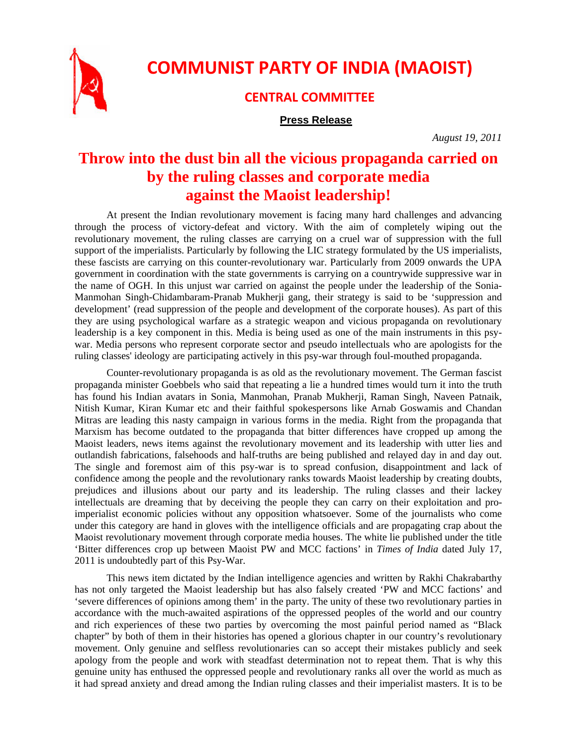

## **COMMUNIST PARTY OF INDIA (MAOIST)**

## **CENTRAL COMMITTEE**

## **Press Release**

*August 19, 2011* 

## **Throw into the dust bin all the vicious propaganda carried on by the ruling classes and corporate media against the Maoist leadership!**

At present the Indian revolutionary movement is facing many hard challenges and advancing through the process of victory-defeat and victory. With the aim of completely wiping out the revolutionary movement, the ruling classes are carrying on a cruel war of suppression with the full support of the imperialists. Particularly by following the LIC strategy formulated by the US imperialists, these fascists are carrying on this counter-revolutionary war. Particularly from 2009 onwards the UPA government in coordination with the state governments is carrying on a countrywide suppressive war in the name of OGH. In this unjust war carried on against the people under the leadership of the Sonia-Manmohan Singh-Chidambaram-Pranab Mukherji gang, their strategy is said to be 'suppression and development' (read suppression of the people and development of the corporate houses). As part of this they are using psychological warfare as a strategic weapon and vicious propaganda on revolutionary leadership is a key component in this. Media is being used as one of the main instruments in this psywar. Media persons who represent corporate sector and pseudo intellectuals who are apologists for the ruling classes' ideology are participating actively in this psy-war through foul-mouthed propaganda.

Counter-revolutionary propaganda is as old as the revolutionary movement. The German fascist propaganda minister Goebbels who said that repeating a lie a hundred times would turn it into the truth has found his Indian avatars in Sonia, Manmohan, Pranab Mukherji, Raman Singh, Naveen Patnaik, Nitish Kumar, Kiran Kumar etc and their faithful spokespersons like Arnab Goswamis and Chandan Mitras are leading this nasty campaign in various forms in the media. Right from the propaganda that Marxism has become outdated to the propaganda that bitter differences have cropped up among the Maoist leaders, news items against the revolutionary movement and its leadership with utter lies and outlandish fabrications, falsehoods and half-truths are being published and relayed day in and day out. The single and foremost aim of this psy-war is to spread confusion, disappointment and lack of confidence among the people and the revolutionary ranks towards Maoist leadership by creating doubts, prejudices and illusions about our party and its leadership. The ruling classes and their lackey intellectuals are dreaming that by deceiving the people they can carry on their exploitation and proimperialist economic policies without any opposition whatsoever. Some of the journalists who come under this category are hand in gloves with the intelligence officials and are propagating crap about the Maoist revolutionary movement through corporate media houses. The white lie published under the title 'Bitter differences crop up between Maoist PW and MCC factions' in *Times of India* dated July 17, 2011 is undoubtedly part of this Psy-War.

This news item dictated by the Indian intelligence agencies and written by Rakhi Chakrabarthy has not only targeted the Maoist leadership but has also falsely created 'PW and MCC factions' and 'severe differences of opinions among them' in the party. The unity of these two revolutionary parties in accordance with the much-awaited aspirations of the oppressed peoples of the world and our country and rich experiences of these two parties by overcoming the most painful period named as "Black chapter" by both of them in their histories has opened a glorious chapter in our country's revolutionary movement. Only genuine and selfless revolutionaries can so accept their mistakes publicly and seek apology from the people and work with steadfast determination not to repeat them. That is why this genuine unity has enthused the oppressed people and revolutionary ranks all over the world as much as it had spread anxiety and dread among the Indian ruling classes and their imperialist masters. It is to be